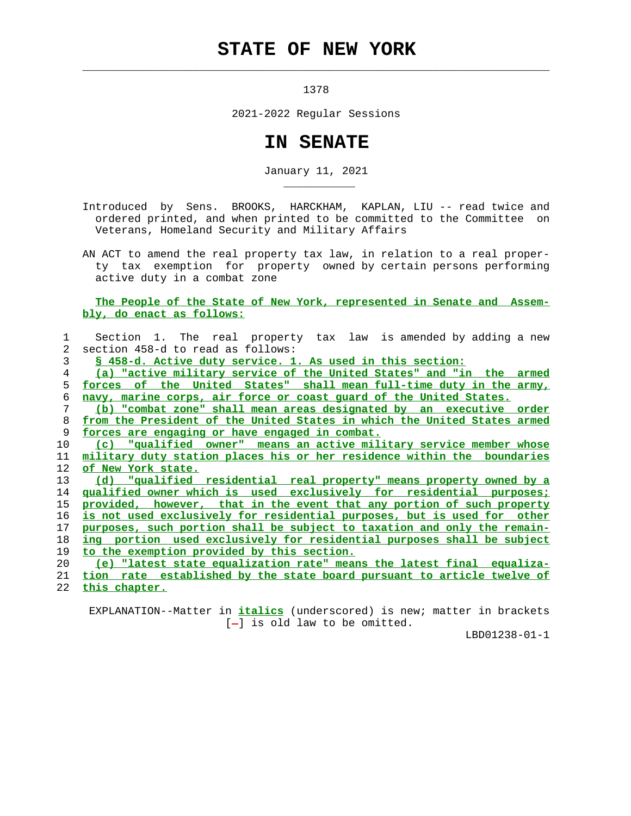## **STATE OF NEW YORK**

 $\mathcal{L}_\text{max} = \frac{1}{2} \sum_{i=1}^{n} \frac{1}{2} \sum_{i=1}^{n} \frac{1}{2} \sum_{i=1}^{n} \frac{1}{2} \sum_{i=1}^{n} \frac{1}{2} \sum_{i=1}^{n} \frac{1}{2} \sum_{i=1}^{n} \frac{1}{2} \sum_{i=1}^{n} \frac{1}{2} \sum_{i=1}^{n} \frac{1}{2} \sum_{i=1}^{n} \frac{1}{2} \sum_{i=1}^{n} \frac{1}{2} \sum_{i=1}^{n} \frac{1}{2} \sum_{i=1}^{n} \frac{1$ 

\_\_\_\_\_\_\_\_\_\_\_

1378

2021-2022 Regular Sessions

## **IN SENATE**

January 11, 2021

 Introduced by Sens. BROOKS, HARCKHAM, KAPLAN, LIU -- read twice and ordered printed, and when printed to be committed to the Committee on Veterans, Homeland Security and Military Affairs

 AN ACT to amend the real property tax law, in relation to a real proper ty tax exemption for property owned by certain persons performing active duty in a combat zone

## **The People of the State of New York, represented in Senate and Assem bly, do enact as follows:**

|    | Section 1. The real property tax law is amended by adding a new          |
|----|--------------------------------------------------------------------------|
| 2  | section 458-d to read as follows:                                        |
| 3  | \$ 458-d. Active duty service. 1. As used in this section:               |
| 4  | (a) "active military service of the United States" and "in the armed     |
| 5. | forces of the United States" shall mean full-time duty in the army,      |
| 6  | navy, marine corps, air force or coast quard of the United States.       |
| 7  | (b) "combat zone" shall mean areas designated by an executive order      |
| 8  | from the President of the United States in which the United States armed |
| 9  | forces are engaging or have engaged in combat.                           |
| 10 | (c) "qualified owner" means an active military service member whose      |
| 11 | military duty station places his or her residence within the boundaries  |
| 12 | of New York state.                                                       |
| 13 | (d) "qualified residential real property" means property owned by a      |
| 14 | qualified owner which is used exclusively for residential purposes;      |
| 15 | provided, however, that in the event that any portion of such property   |
| 16 | is not used exclusively for residential purposes, but is used for other  |
| 17 | purposes, such portion shall be subject to taxation and only the remain- |
| 18 | ing portion used exclusively for residential purposes shall be subject   |
| 19 | to the exemption provided by this section.                               |
| 20 | (e) "latest state equalization rate" means the latest final equaliza-    |
| 21 | tion rate established by the state board pursuant to article twelve of   |
| 22 | this chapter.                                                            |

 EXPLANATION--Matter in **italics** (underscored) is new; matter in brackets  $[-]$  is old law to be omitted.

LBD01238-01-1